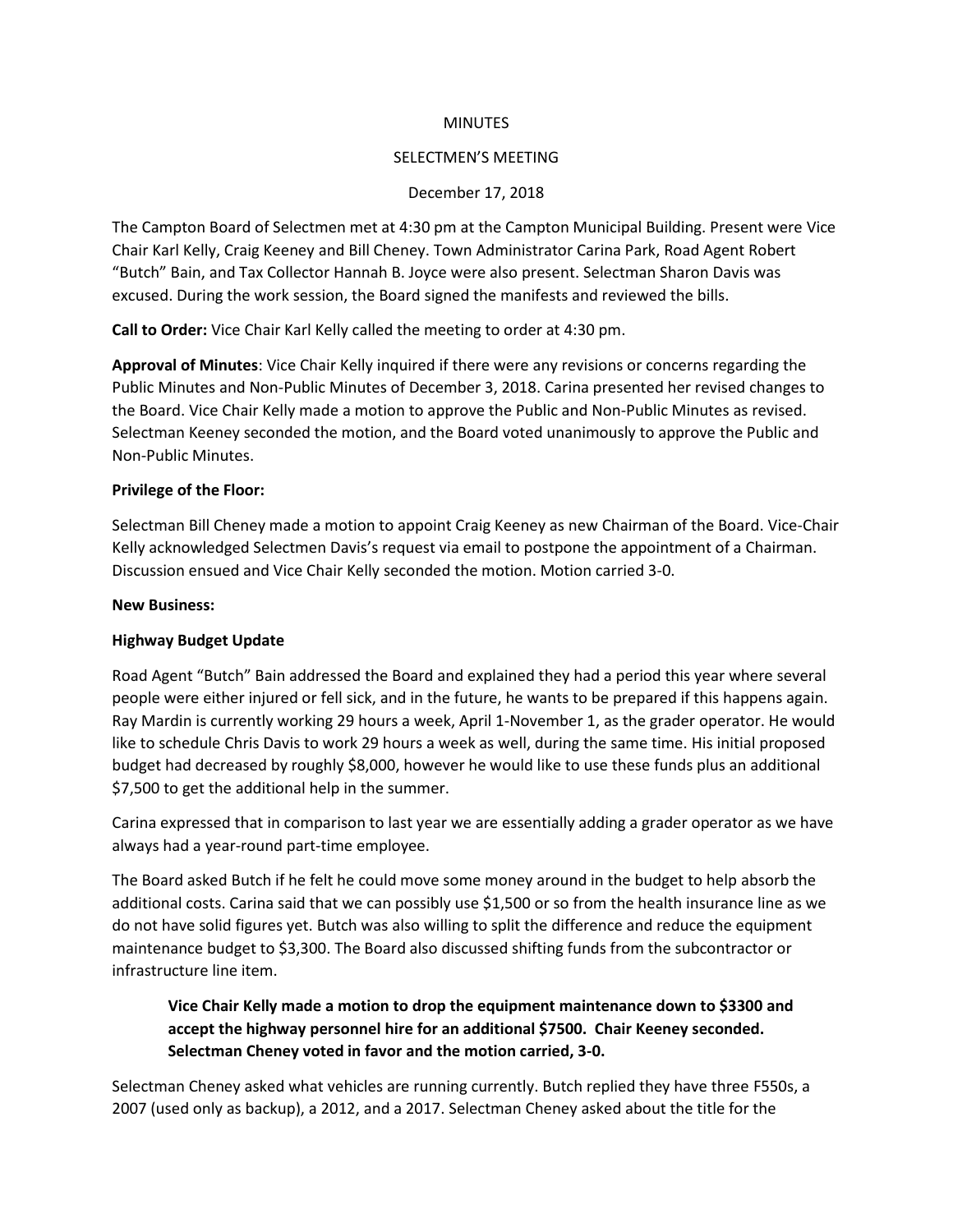#### **MINUTES**

#### SELECTMEN'S MEETING

#### December 17, 2018

The Campton Board of Selectmen met at 4:30 pm at the Campton Municipal Building. Present were Vice Chair Karl Kelly, Craig Keeney and Bill Cheney. Town Administrator Carina Park, Road Agent Robert "Butch" Bain, and Tax Collector Hannah B. Joyce were also present. Selectman Sharon Davis was excused. During the work session, the Board signed the manifests and reviewed the bills.

**Call to Order:** Vice Chair Karl Kelly called the meeting to order at 4:30 pm.

**Approval of Minutes**: Vice Chair Kelly inquired if there were any revisions or concerns regarding the Public Minutes and Non-Public Minutes of December 3, 2018. Carina presented her revised changes to the Board. Vice Chair Kelly made a motion to approve the Public and Non-Public Minutes as revised. Selectman Keeney seconded the motion, and the Board voted unanimously to approve the Public and Non-Public Minutes.

### **Privilege of the Floor:**

Selectman Bill Cheney made a motion to appoint Craig Keeney as new Chairman of the Board. Vice-Chair Kelly acknowledged Selectmen Davis's request via email to postpone the appointment of a Chairman. Discussion ensued and Vice Chair Kelly seconded the motion. Motion carried 3-0.

#### **New Business:**

### **Highway Budget Update**

Road Agent "Butch" Bain addressed the Board and explained they had a period this year where several people were either injured or fell sick, and in the future, he wants to be prepared if this happens again. Ray Mardin is currently working 29 hours a week, April 1-November 1, as the grader operator. He would like to schedule Chris Davis to work 29 hours a week as well, during the same time. His initial proposed budget had decreased by roughly \$8,000, however he would like to use these funds plus an additional \$7,500 to get the additional help in the summer.

Carina expressed that in comparison to last year we are essentially adding a grader operator as we have always had a year-round part-time employee.

The Board asked Butch if he felt he could move some money around in the budget to help absorb the additional costs. Carina said that we can possibly use \$1,500 or so from the health insurance line as we do not have solid figures yet. Butch was also willing to split the difference and reduce the equipment maintenance budget to \$3,300. The Board also discussed shifting funds from the subcontractor or infrastructure line item.

**Vice Chair Kelly made a motion to drop the equipment maintenance down to \$3300 and accept the highway personnel hire for an additional \$7500. Chair Keeney seconded. Selectman Cheney voted in favor and the motion carried, 3-0.**

Selectman Cheney asked what vehicles are running currently. Butch replied they have three F550s, a 2007 (used only as backup), a 2012, and a 2017. Selectman Cheney asked about the title for the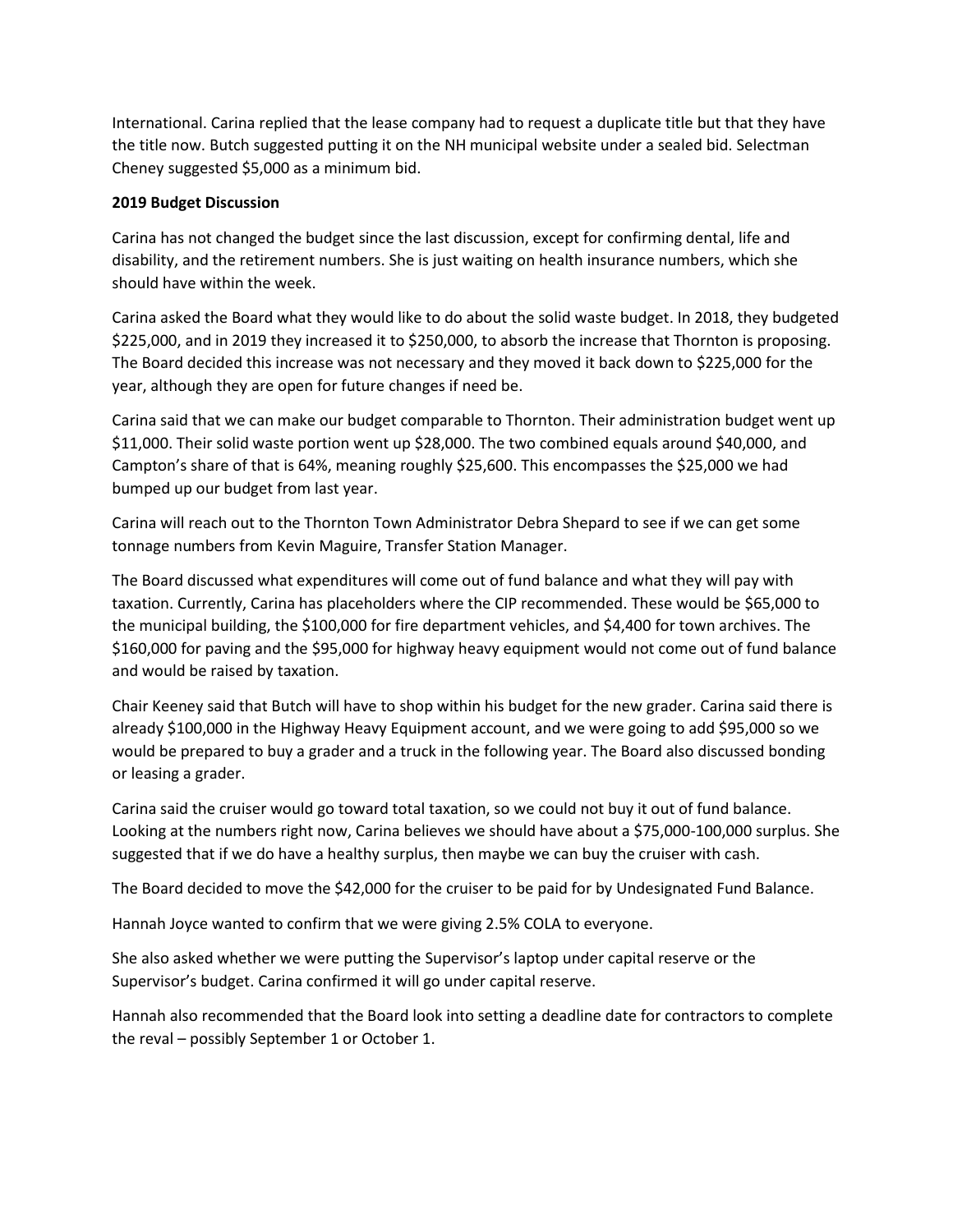International. Carina replied that the lease company had to request a duplicate title but that they have the title now. Butch suggested putting it on the NH municipal website under a sealed bid. Selectman Cheney suggested \$5,000 as a minimum bid.

### **2019 Budget Discussion**

Carina has not changed the budget since the last discussion, except for confirming dental, life and disability, and the retirement numbers. She is just waiting on health insurance numbers, which she should have within the week.

Carina asked the Board what they would like to do about the solid waste budget. In 2018, they budgeted \$225,000, and in 2019 they increased it to \$250,000, to absorb the increase that Thornton is proposing. The Board decided this increase was not necessary and they moved it back down to \$225,000 for the year, although they are open for future changes if need be.

Carina said that we can make our budget comparable to Thornton. Their administration budget went up \$11,000. Their solid waste portion went up \$28,000. The two combined equals around \$40,000, and Campton's share of that is 64%, meaning roughly \$25,600. This encompasses the \$25,000 we had bumped up our budget from last year.

Carina will reach out to the Thornton Town Administrator Debra Shepard to see if we can get some tonnage numbers from Kevin Maguire, Transfer Station Manager.

The Board discussed what expenditures will come out of fund balance and what they will pay with taxation. Currently, Carina has placeholders where the CIP recommended. These would be \$65,000 to the municipal building, the \$100,000 for fire department vehicles, and \$4,400 for town archives. The \$160,000 for paving and the \$95,000 for highway heavy equipment would not come out of fund balance and would be raised by taxation.

Chair Keeney said that Butch will have to shop within his budget for the new grader. Carina said there is already \$100,000 in the Highway Heavy Equipment account, and we were going to add \$95,000 so we would be prepared to buy a grader and a truck in the following year. The Board also discussed bonding or leasing a grader.

Carina said the cruiser would go toward total taxation, so we could not buy it out of fund balance. Looking at the numbers right now, Carina believes we should have about a \$75,000-100,000 surplus. She suggested that if we do have a healthy surplus, then maybe we can buy the cruiser with cash.

The Board decided to move the \$42,000 for the cruiser to be paid for by Undesignated Fund Balance.

Hannah Joyce wanted to confirm that we were giving 2.5% COLA to everyone.

She also asked whether we were putting the Supervisor's laptop under capital reserve or the Supervisor's budget. Carina confirmed it will go under capital reserve.

Hannah also recommended that the Board look into setting a deadline date for contractors to complete the reval – possibly September 1 or October 1.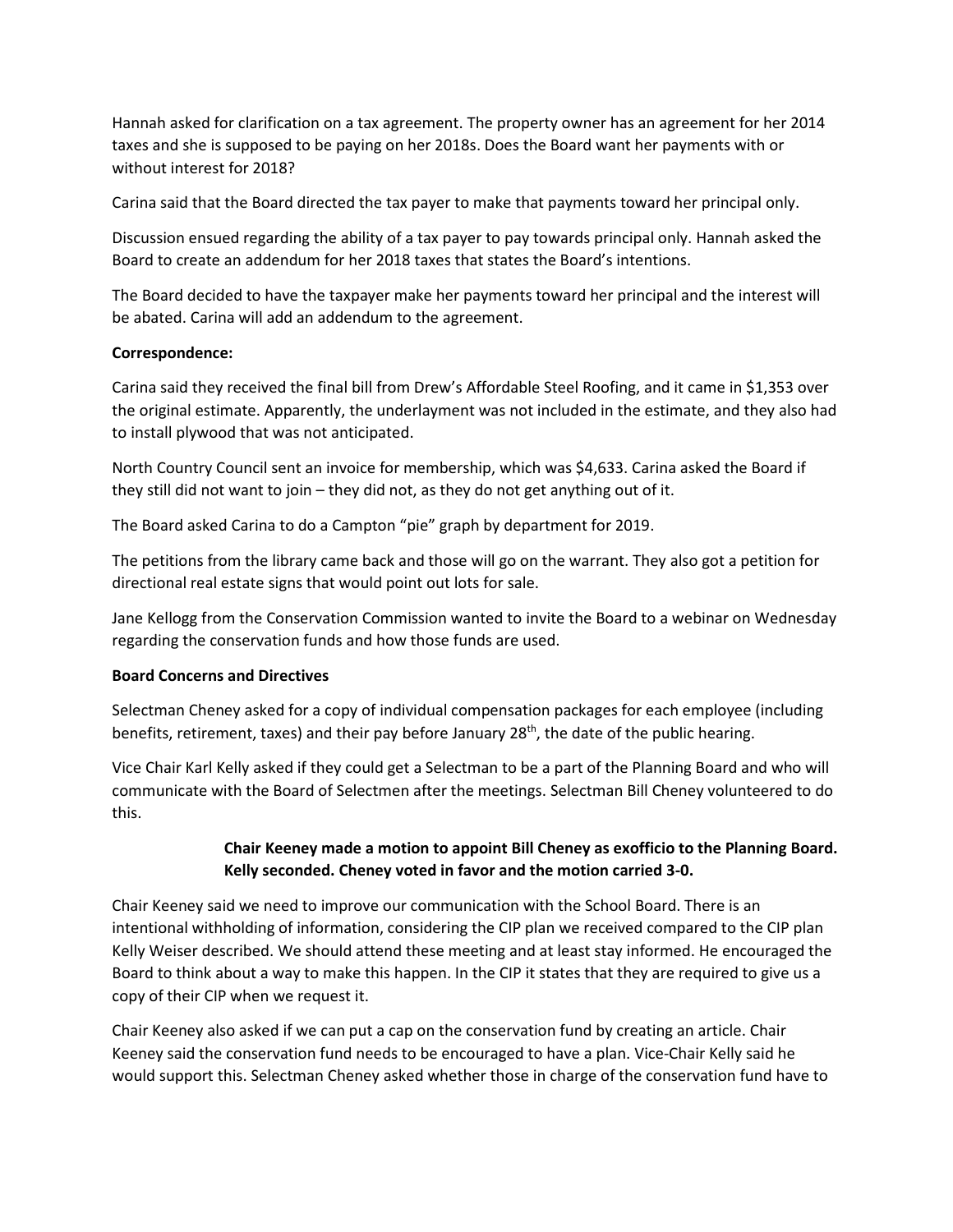Hannah asked for clarification on a tax agreement. The property owner has an agreement for her 2014 taxes and she is supposed to be paying on her 2018s. Does the Board want her payments with or without interest for 2018?

Carina said that the Board directed the tax payer to make that payments toward her principal only.

Discussion ensued regarding the ability of a tax payer to pay towards principal only. Hannah asked the Board to create an addendum for her 2018 taxes that states the Board's intentions.

The Board decided to have the taxpayer make her payments toward her principal and the interest will be abated. Carina will add an addendum to the agreement.

## **Correspondence:**

Carina said they received the final bill from Drew's Affordable Steel Roofing, and it came in \$1,353 over the original estimate. Apparently, the underlayment was not included in the estimate, and they also had to install plywood that was not anticipated.

North Country Council sent an invoice for membership, which was \$4,633. Carina asked the Board if they still did not want to join – they did not, as they do not get anything out of it.

The Board asked Carina to do a Campton "pie" graph by department for 2019.

The petitions from the library came back and those will go on the warrant. They also got a petition for directional real estate signs that would point out lots for sale.

Jane Kellogg from the Conservation Commission wanted to invite the Board to a webinar on Wednesday regarding the conservation funds and how those funds are used.

### **Board Concerns and Directives**

Selectman Cheney asked for a copy of individual compensation packages for each employee (including benefits, retirement, taxes) and their pay before January 28<sup>th</sup>, the date of the public hearing.

Vice Chair Karl Kelly asked if they could get a Selectman to be a part of the Planning Board and who will communicate with the Board of Selectmen after the meetings. Selectman Bill Cheney volunteered to do this.

# **Chair Keeney made a motion to appoint Bill Cheney as exofficio to the Planning Board. Kelly seconded. Cheney voted in favor and the motion carried 3-0.**

Chair Keeney said we need to improve our communication with the School Board. There is an intentional withholding of information, considering the CIP plan we received compared to the CIP plan Kelly Weiser described. We should attend these meeting and at least stay informed. He encouraged the Board to think about a way to make this happen. In the CIP it states that they are required to give us a copy of their CIP when we request it.

Chair Keeney also asked if we can put a cap on the conservation fund by creating an article. Chair Keeney said the conservation fund needs to be encouraged to have a plan. Vice-Chair Kelly said he would support this. Selectman Cheney asked whether those in charge of the conservation fund have to